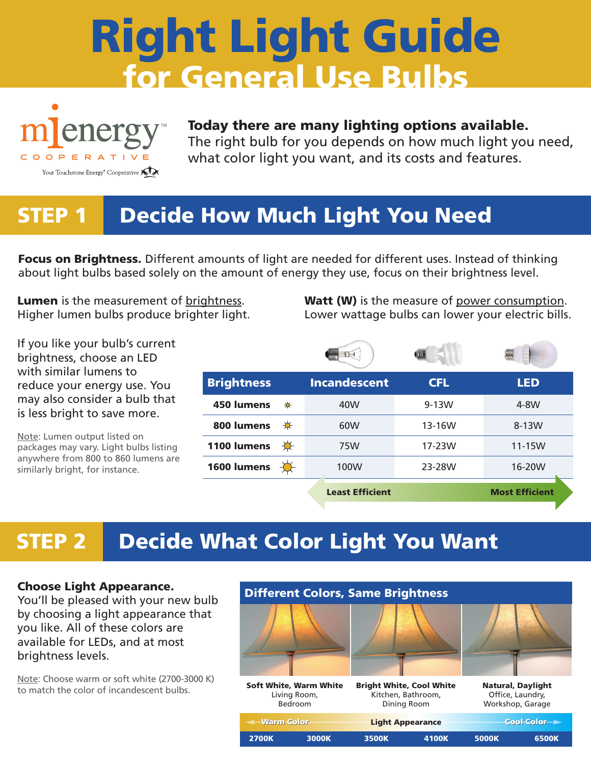# **Right Light Guide for General Use Bulbs**



#### **Today there are many lighting options available.**

The right bulb for you depends on how much light you need, what color light you want, and its costs and features.

#### **STEP 1 Decide How Much Light You Need**

**Focus on Brightness.** Different amounts of light are needed for different uses. Instead of thinking about light bulbs based solely on the amount of energy they use, focus on their brightness level.

**Lumen** is the measurement of brightness. Higher lumen bulbs produce brighter light. **Watt (W)** is the measure of power consumption. Lower wattage bulbs can lower your electric bills.

and a fifth in

| If you like your bulb's current |  |
|---------------------------------|--|
| brightness, choose an LED       |  |
| with similar lumens to          |  |
| reduce your energy use. You     |  |
| may also consider a bulb that   |  |
| is less bright to save more.    |  |

Note: Lumen output listed on packages may vary. Light bulbs listing anywhere from 800 to 860 lumens are similarly bright, for instance.

| <b>Brightness</b> |   | <b>Incandescent</b>    | <b>CFL</b> | <b>LED</b>            |
|-------------------|---|------------------------|------------|-----------------------|
| 450 lumens        | ₩ | 40W                    | $9-13W$    | 4-8W                  |
| 800 lumens        | ₩ | 60W                    | 13-16W     | 8-13W                 |
| 1100 lumens       | ₩ | 75W                    | 17-23W     | $11-15W$              |
| 1600 lumens       |   | 100W                   | 23-28W     | 16-20W                |
|                   |   | <b>Least Efficient</b> |            | <b>Most Efficient</b> |
|                   |   |                        |            |                       |

### **STEP 2 Decide What Color Light You Want**

#### **Choose Light Appearance.**

You'll be pleased with your new bulb by choosing a light appearance that you like. All of these colors are available for LEDs, and at most brightness levels.

Note: Choose warm or soft white (2700-3000 K) to match the color of incandescent bulbs.